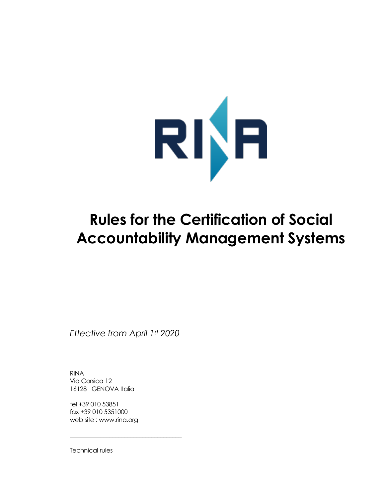

# **Rules for the Certification of Social Accountability Management Systems**

*Effective from April 1st 2020*

\_\_\_\_\_\_\_\_\_\_\_\_\_\_\_\_\_\_\_\_\_\_\_\_\_\_\_\_\_\_\_\_\_\_\_\_\_

RINA Via Corsica 12 16128 GENOVA Italia

tel +39 010 53851 fax +39 010 5351000 web site : www.rina.org

Technical rules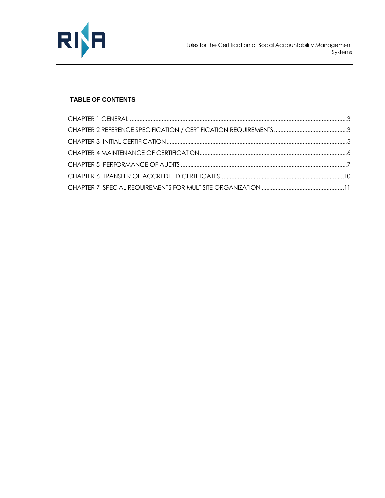

## **TABLE OF CONTENTS**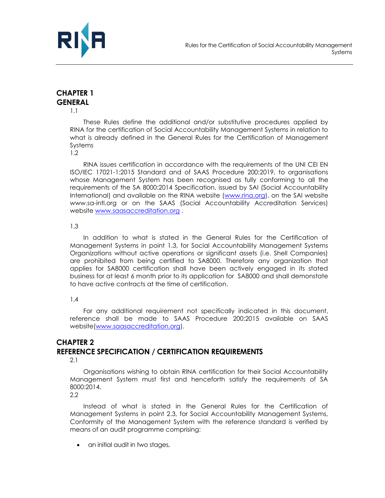



# <span id="page-2-0"></span>**CHAPTER 1 GENERAL**

1.1

These Rules define the additional and/or substitutive procedures applied by RINA for the certification of Social Accountability Management Systems in relation to what is already defined in the General Rules for the Certification of Management Systems

1.2

RINA issues certification in accordance with the requirements of the UNI CEI EN ISO/IEC 17021-1:2015 Standard and of SAAS Procedure 200:2019, to organisations whose Management System has been recognised as fully conforming to all the requirements of the SA 8000:2014 Specification, issued by SAI (Social Accountability International) and available on the RINA website [\(www.rina.org\)](http://www.rina.org/), on the SAI website www.sa-intl.org or on the SAAS (Social Accountability Accreditation Services) website [www.saasaccreditation.org](http://www.saasaccreditation.org/) .

#### 1.3

In addition to what is stated in the General Rules for the Certification of Management Systems in point 1.3, for Social Accountability Management Systems Organizations without active operations or significant assets (i.e. Shell Companies) are prohibited from being certified to SA8000. Therefore any organization that applies for SA8000 certification shall have been actively engaged in its stated business for at least 6 month prior to its application for SA8000 and shall demonstate to have active contracts at the time of certification.

## 1.4

For any additional requirement not specifically indicated in this document, reference shall be made to SAAS Procedure 200:2015 available on SAAS website[\(www.saasaccreditation.org\)](http://www.saasaccreditation.org/).

# <span id="page-2-1"></span>**CHAPTER 2 REFERENCE SPECIFICATION / CERTIFICATION REQUIREMENTS**

2.1

Organisations wishing to obtain RINA certification for their Social Accountability Management System must first and henceforth satisfy the requirements of SA 8000:2014.

2.2

Instead of what is stated in the General Rules for the Certification of Management Systems in point 2.3, for Social Accountability Management Systems, Conformity of the Management System with the reference standard is verified by means of an audit programme comprising:

• an initial audit in two stages,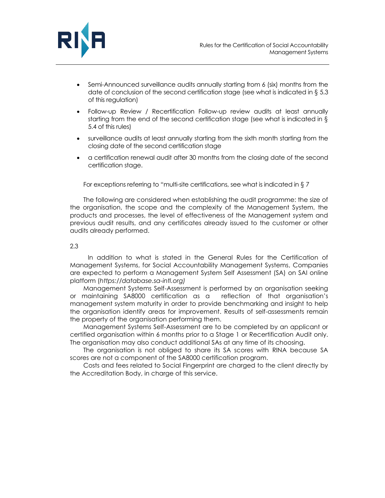

- Semi-Announced surveillance audits annually starting from 6 (six) months from the date of conclusion of the second certification stage (see what is indicated in § 5.3 of this regulation)
- Follow-up Review / Recertification Follow-up review audits at least annually starting from the end of the second certification stage (see what is indicated in § 5.4 of this rules)
- surveillance audits at least annually starting from the sixth month starting from the closing date of the second certification stage
- a certification renewal audit after 30 months from the closing date of the second certification stage.

For exceptions referring to "multi-site certifications, see what is indicated in § 7

The following are considered when establishing the audit programme: the size of the organisation, the scope and the complexity of the Management System, the products and processes, the level of effectiveness of the Management system and previous audit results, and any certificates already issued to the customer or other audits already performed.

#### 2.3

In addition to what is stated in the General Rules for the Certification of Management Systems, for Social Accountability Management Systems, Companies are expected to perform a Management System Self Assessment (SA) on SAI online platform (*https://database.sa-intl.org)*

Management Systems Self-Assessment is performed by an organisation seeking or maintaining SA8000 certification as a reflection of that organisation's management system maturity in order to provide benchmarking and insight to help the organisation identify areas for improvement. Results of self-assessments remain the property of the organisation performing them.

Management Systems Self-Assessment are to be completed by an applicant or certified organisation within 6 months prior to a Stage 1 or Recertification Audit only. The organisation may also conduct additional SAs at any time of its choosing.

The organisation is not obliged to share its SA scores with RINA because SA scores are not a component of the SA8000 certification program.

Costs and fees related to Social Fingerprint are charged to the client directly by the Accreditation Body, in charge of this service.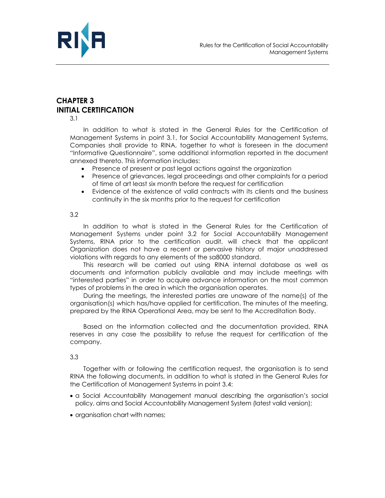

# <span id="page-4-0"></span>**CHAPTER 3 INITIAL CERTIFICATION**

3.1

In addition to what is stated in the General Rules for the Certification of Management Systems in point 3.1, for Social Accountability Management Systems, Companies shall provide to RINA, together to what is foreseen in the document "Informative Questionnaire", some additional information reported in the document annexed thereto. This information includes:

- Presence of present or past legal actions against the organization
- Presence of grievances, legal proceedings and other complaints for a period of time of art least six month before the request for certification
- Evidence of the existence of valid contracts with its clients and the business continuity in the six months prior to the request for certification

#### 3.2

In addition to what is stated in the General Rules for the Certification of Management Systems under point 3.2 for Social Accountability Management Systems, RINA prior to the certification audit, will check that the applicant Organization does not have a recent or pervasive history of major unaddressed violations with regards to any elements of the sa8000 standard.

This research will be carried out using RINA internal database as well as documents and information publicly available and may include meetings with "interested parties" in order to acquire advance information on the most common types of problems in the area in which the organisation operates.

During the meetings, the interested parties are unaware of the name(s) of the organisation(s) which has/have applied for certification. The minutes of the meeting, prepared by the RINA Operational Area, may be sent to the Accreditation Body.

Based on the information collected and the documentation provided, RINA reserves in any case the possibility to refuse the request for certification of the company.

#### 3.3

Together with or following the certification request, the organisation is to send RINA the following documents, in addition to what is stated in the General Rules for the Certification of Management Systems in point 3.4:

- a Social Accountability Management manual describing the organisation's social policy, aims and Social Accountability Management System (latest valid version);
- organisation chart with names;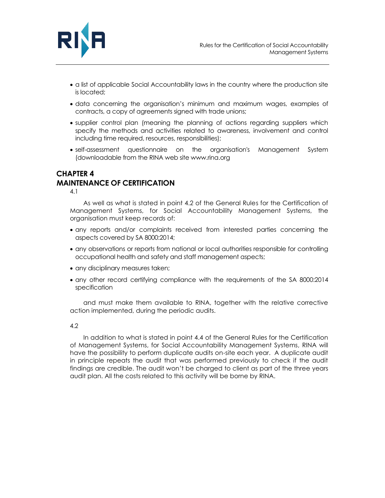

- a list of applicable Social Accountability laws in the country where the production site is located;
- data concerning the organisation's minimum and maximum wages, examples of contracts, a copy of agreements signed with trade unions;
- supplier control plan (meaning the planning of actions regarding suppliers which specify the methods and activities related to awareness, involvement and control including time required, resources, responsibilities);
- self-assessment questionnaire on the organisation's Management System (downloadable from the RINA web site www.rina.org

## <span id="page-5-0"></span>**CHAPTER 4 MAINTENANCE OF CERTIFICATION**

4.1

As well as what is stated in point 4.2 of the General Rules for the Certification of Management Systems, for Social Accountability Management Systems, the organisation must keep records of:

- any reports and/or complaints received from interested parties concerning the aspects covered by SA 8000:2014;
- any observations or reports from national or local authorities responsible for controlling occupational health and safety and staff management aspects;
- any disciplinary measures taken;
- any other record certifying compliance with the requirements of the SA 8000:2014 specification

and must make them available to RINA, together with the relative corrective action implemented, during the periodic audits.

## 4.2

In addition to what is stated in point 4.4 of the General Rules for the Certification of Management Systems, for Social Accountability Management Systems, RINA will have the possibility to perform duplicate audits on-site each year. A duplicate audit in principle repeats the audit that was performed previously to check if the audit findings are credible. The audit won't be charged to client as part of the three years audit plan. All the costs related to this activity will be borne by RINA.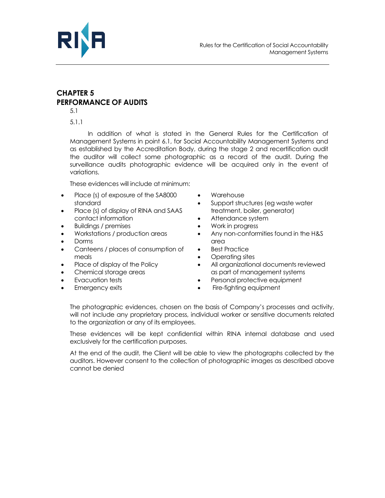

# <span id="page-6-0"></span>**CHAPTER 5 PERFORMANCE OF AUDITS**

5.1

5.1.1

In addition of what is stated in the General Rules for the Certification of Management Systems in point 6.1, for Social Accountability Management Systems and as established by the Accreditation Body, during the stage 2 and recertification audit the auditor will collect some photographic as a record of the audit. During the surveillance audits photographic evidence will be acquired only in the event of variations.

These evidences will include at minimum:

- Place (s) of exposure of the SA8000 standard
- Place (s) of display of RINA and SAAS contact information
- Buildings / premises
- Workstations / production areas
- Dorms
- Canteens / places of consumption of meals
- Place of display of the Policy
- Chemical storage areas
- Evacuation tests
- **Emergency exits**
- Warehouse
- Support structures (eg waste water treatment, boiler, generator)
- Attendance system
- Work in progress
- Any non-conformities found in the H&S area
- **Best Practice**
- Operating sites
- All organizational documents reviewed as part of management systems
- Personal protective equipment
- Fire-fighting equipment

The photographic evidences, chosen on the basis of Company's processes and activity, will not include any proprietary process, individual worker or sensitive documents related to the organization or any of its employees.

These evidences will be kept confidential within RINA internal database and used exclusively for the certification purposes.

At the end of the audit, the Client will be able to view the photographs collected by the auditors. However consent to the collection of photographic images as described above cannot be denied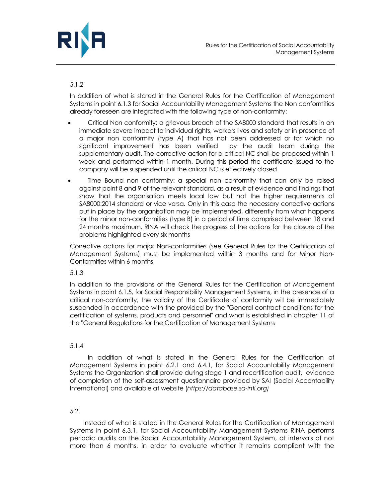

## 5.1.2

In addition of what is stated in the General Rules for the Certification of Management Systems in point 6.1.3 for Social Accountability Management Systems the Non conformities already foreseen are integrated with the following type of non-conformity:

- Critical Non conformity: a grievous breach of the SA8000 standard that results in an immediate severe impact to individual rights, workers lives and safety or in presence of a major non conformity (type A) that has not been addressed or for which no significant improvement has been verified by the audit team during the supplementary audit. The corrective action for a critical NC shall be proposed within 1 week and performed within 1 month. During this period the certificate issued to the company will be suspended until the critical NC is effectively closed
- Time Bound non conformity: a special non conformity that can only be raised against point 8 and 9 of the relevant standard, as a result of evidence and findings that show that the organisation meets local law but not the higher requirements of SA8000:2014 standard or vice versa. Only in this case the necessary corrective actions put in place by the organisation may be implemented, differently from what happens for the minor non-conformities (type B) in a period of time comprised between 18 and 24 months maximum. RINA will check the progress of the actions for the closure of the problems highlighted every six months

Corrective actions for major Non-conformities (see General Rules for the Certification of Management Systems) must be implemented within 3 months and for Minor Non-Conformities within 6 months

## 5.1.3

In addition to the provisions of the General Rules for the Certification of Management Systems in point 6.1.5, for Social Responsibility Management Systems, in the presence of a critical non-conformity, the validity of the Certificate of conformity will be immediately suspended in accordance with the provided by the "General contract conditions for the certification of systems, products and personnel" and what is established in chapter 11 of the "General Regulations for the Certification of Management Systems

## 5.1.4

In addition of what is stated in the General Rules for the Certification of Management Systems in point 6.2.1 and 6.4.1, for Social Accountability Management Systems the Organization shall provide during stage 1 and recertification audit, evidence of completion of the self-assessment questionnaire provided by SAI (Social Accontability International) and available at website (*https://database.sa-intl.org)*

## 5.2

Instead of what is stated in the General Rules for the Certification of Management Systems in point 6.3.1, for Social Accountability Management Systems RINA performs periodic audits on the Social Accountability Management System, at intervals of not more than 6 months, in order to evaluate whether it remains compliant with the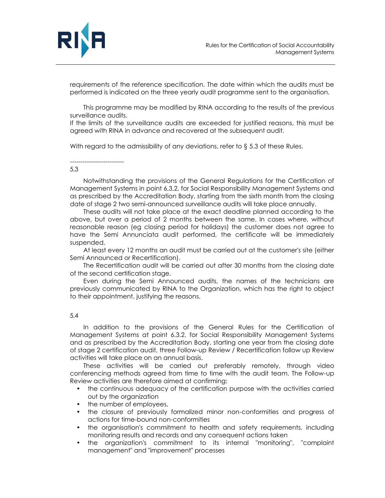

requirements of the reference specification. The date within which the audits must be performed is indicated on the three yearly audit programme sent to the organisation.

This programme may be modified by RINA according to the results of the previous surveillance audits.

If the limits of the surveillance audits are exceeded for justified reasons, this must be agreed with RINA in advance and recovered at the subsequent audit.

With regard to the admissibility of any deviations, refer to § 5.3 of these Rules.

#### -------------------------- 5.3

Notwithstanding the provisions of the General Regulations for the Certification of Management Systems in point 6.3.2, for Social Responsibility Management Systems and as prescribed by the Accreditation Body, starting from the sixth month from the closing date of stage 2 two semi-announced surveillance audits will take place annually.

These audits will not take place at the exact deadline planned according to the above, but over a period of 2 months between the same. In cases where, without reasonable reason (eg closing period for holidays) the customer does not agree to have the Semi Annunciata audit performed, the certificate will be immediately suspended.

At least every 12 months an audit must be carried out at the customer's site (either Semi Announced or Recertification).

The Recertification audit will be carried out after 30 months from the closing date of the second certification stage.

Even during the Semi Announced audits, the names of the technicians are previously communicated by RINA to the Organization, which has the right to object to their appointment, justifying the reasons.

## 5.4

In addition to the provisions of the General Rules for the Certification of Management Systems at point 6.3.2, for Social Responsibility Management Systems and as prescribed by the Accreditation Body, starting one year from the closing date of stage 2 certification audit, three Follow-up Review / Recertification follow up Review activities will take place on an annual basis.

These activities will be carried out preferably remotely, through video conferencing methods agreed from time to time with the audit team. The Follow-up Review activities are therefore aimed at confirming:

- the continuous adequacy of the certification purpose with the activities carried out by the organization
- the number of employees,
- the closure of previously formalized minor non-conformities and progress of actions for time-bound non-conformities
- the organisation's commitment to health and safety requirements, including monitoring results and records and any consequent actions taken
- the organization's commitment to its internal "monitoring", "complaint management" and "improvement" processes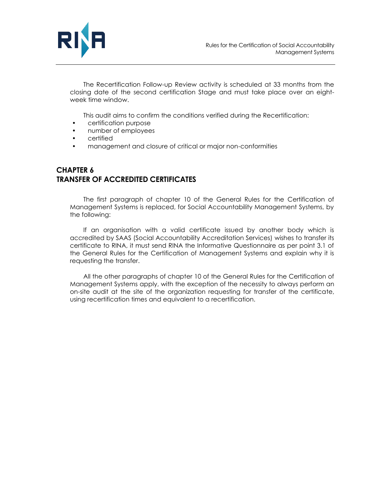

The Recertification Follow-up Review activity is scheduled at 33 months from the closing date of the second certification Stage and must take place over an eightweek time window.

This audit aims to confirm the conditions verified during the Recertification:

- certification purpose
- number of employees
- certified
- management and closure of critical or major non-conformities

# <span id="page-9-0"></span>**CHAPTER 6 TRANSFER OF ACCREDITED CERTIFICATES**

The first paragraph of chapter 10 of the General Rules for the Certification of Management Systems is replaced, for Social Accountability Management Systems, by the following:

If an organisation with a valid certificate issued by another body which is accredited by SAAS (Social Accountability Accreditation Services) wishes to transfer its certificate to RINA, it must send RINA the Informative Questionnaire as per point 3.1 of the General Rules for the Certification of Management Systems and explain why it is requesting the transfer.

All the other paragraphs of chapter 10 of the General Rules for the Certification of Management Systems apply, with the exception of the necessity to always perform an on-site audit at the site of the organization requesting for transfer of the certificate, using recertification times and equivalent to a recertification.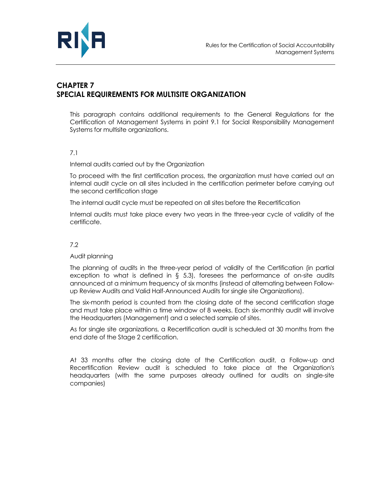

# <span id="page-10-0"></span>**CHAPTER 7 SPECIAL REQUIREMENTS FOR MULTISITE ORGANIZATION**

This paragraph contains additional requirements to the General Regulations for the Certification of Management Systems in point 9.1 for Social Responsibility Management Systems for multisite organizations.

## 7.1

Internal audits carried out by the Organization

To proceed with the first certification process, the organization must have carried out an internal audit cycle on all sites included in the certification perimeter before carrying out the second certification stage

The internal audit cycle must be repeated on all sites before the Recertification

Internal audits must take place every two years in the three-year cycle of validity of the certificate.

## 7.2

#### Audit planning

The planning of audits in the three-year period of validity of the Certification (in partial exception to what is defined in  $\S$  5.3), foresees the performance of on-site audits announced at a minimum frequency of six months (instead of alternating between Followup Review Audits and Valid Half-Announced Audits for single site Organizations).

The six-month period is counted from the closing date of the second certification stage and must take place within a time window of 8 weeks. Each six-monthly audit will involve the Headquarters (Management) and a selected sample of sites.

As for single site organizations, a Recertification audit is scheduled at 30 months from the end date of the Stage 2 certification.

At 33 months after the closing date of the Certification audit, a Follow-up and Recertification Review audit is scheduled to take place at the Organization's headquarters (with the same purposes already outlined for audits on single-site companies)